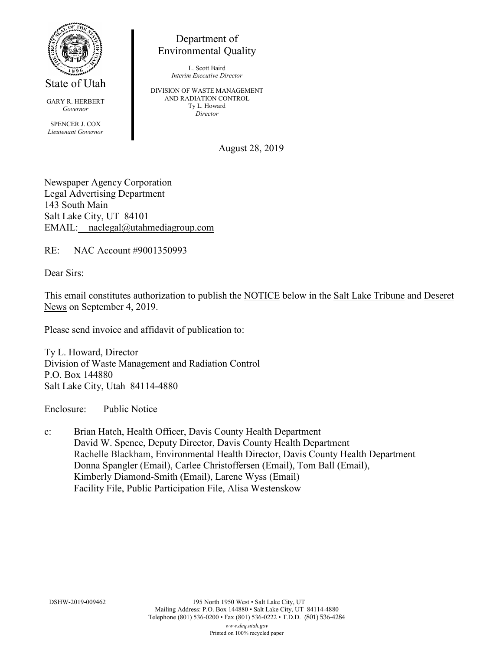

State of Utah

GARY R. HERBERT *Governor* SPENCER J. COX *Lieutenant Governor*

Department of Environmental Quality

> L. Scott Baird *Interim Executive Director*

DIVISION OF WASTE MANAGEMENT AND RADIATION CONTROL Ty L. Howard *Director*

August 28, 2019

Newspaper Agency Corporation Legal Advertising Department 143 South Main Salt Lake City, UT 84101 EMAIL: naclegal@utahmediagroup.com

RE: NAC Account #9001350993

Dear Sirs:

This email constitutes authorization to publish the NOTICE below in the Salt Lake Tribune and Deseret News on September 4, 2019.

Please send invoice and affidavit of publication to:

Ty L. Howard, Director Division of Waste Management and Radiation Control P.O. Box 144880 Salt Lake City, Utah 84114-4880

Enclosure: Public Notice

c: Brian Hatch, Health Officer, Davis County Health Department David W. Spence, Deputy Director, Davis County Health Department Rachelle Blackham, Environmental Health Director, Davis County Health Department Donna Spangler (Email), Carlee Christoffersen (Email), Tom Ball (Email), Kimberly Diamond-Smith (Email), Larene Wyss (Email) Facility File, Public Participation File, Alisa Westenskow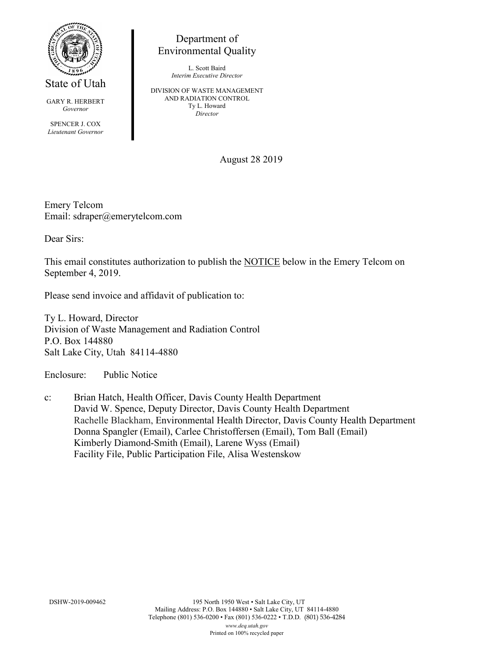

State of Utah

GARY R. HERBERT *Governor*

SPENCER J. COX *Lieutenant Governor*

Department of Environmental Quality

> L. Scott Baird *Interim Executive Director*

DIVISION OF WASTE MANAGEMENT AND RADIATION CONTROL Ty L. Howard *Director*

August 28 2019

Emery Telcom Email: sdraper@emerytelcom.com

Dear Sirs:

This email constitutes authorization to publish the NOTICE below in the Emery Telcom on September 4, 2019.

Please send invoice and affidavit of publication to:

Ty L. Howard, Director Division of Waste Management and Radiation Control P.O. Box 144880 Salt Lake City, Utah 84114-4880

Enclosure: Public Notice

c: Brian Hatch, Health Officer, Davis County Health Department David W. Spence, Deputy Director, Davis County Health Department Rachelle Blackham, Environmental Health Director, Davis County Health Department Donna Spangler (Email), Carlee Christoffersen (Email), Tom Ball (Email) Kimberly Diamond-Smith (Email), Larene Wyss (Email) Facility File, Public Participation File, Alisa Westenskow